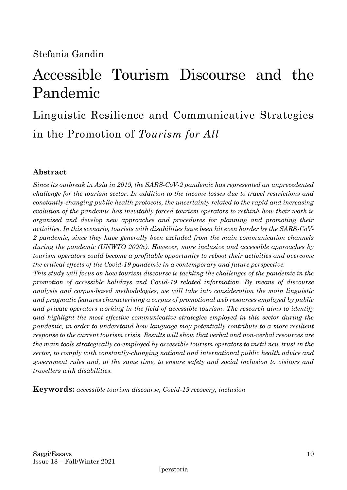# Accessible Tourism Discourse and the Pandemic

Linguistic Resilience and Communicative Strategies in the Promotion of *Tourism for All*

# **Abstract**

*Since its outbreak in Asia in 2019, the SARS-CoV-2 pandemic has represented an unprecedented challenge for the tourism sector. In addition to the income losses due to travel restrictions and constantly-changing public health protocols, the uncertainty related to the rapid and increasing evolution of the pandemic has inevitably forced tourism operators to rethink how their work is organised and develop new approaches and procedures for planning and promoting their activities. In this scenario, tourists with disabilities have been hit even harder by the SARS-CoV-2 pandemic, since they have generally been excluded from the main communication channels during the pandemic (UNWTO 2020c). However, more inclusive and accessible approaches by tourism operators could become a profitable opportunity to reboot their activities and overcome the critical effects of the Covid-19 pandemic in a contemporary and future perspective.* 

*This study will focus on how tourism discourse is tackling the challenges of the pandemic in the promotion of accessible holidays and Covid-19 related information. By means of discourse analysis and corpus-based methodologies, we will take into consideration the main linguistic and pragmatic features characterising a corpus of promotional web resources employed by public and private operators working in the field of accessible tourism. The research aims to identify and highlight the most effective communicative strategies employed in this sector during the pandemic, in order to understand how language may potentially contribute to a more resilient response to the current tourism crisis. Results will show that verbal and non-verbal resources are the main tools strategically co-employed by accessible tourism operators to instil new trust in the sector, to comply with constantly-changing national and international public health advice and government rules and, at the same time, to ensure safety and social inclusion to visitors and travellers with disabilities.*

**Keywords:** *accessible tourism discourse, Covid-19 recovery, inclusion*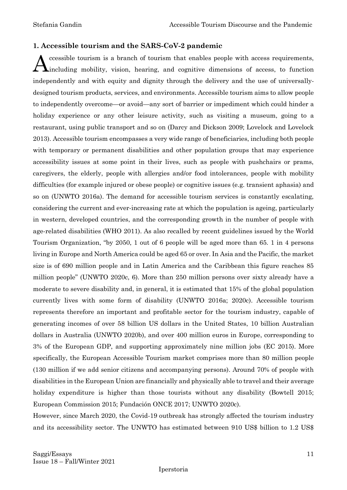#### **1. Accessible tourism and the SARS-CoV-2 pandemic**

ccessible tourism is a branch of tourism that enables people with access requirements, including mobility, vision, hearing, and cognitive dimensions of access, to function independently and with equity and dignity through the delivery and the use of universallydesigned tourism products, services, and environments. Accessible tourism aims to allow people to independently overcome—or avoid—any sort of barrier or impediment which could hinder a holiday experience or any other leisure activity, such as visiting a museum, going to a restaurant, using public transport and so on (Darcy and Dickson 2009; Lovelock and Lovelock 2013). Accessible tourism encompasses a very wide range of beneficiaries, including both people with temporary or permanent disabilities and other population groups that may experience accessibility issues at some point in their lives, such as people with pushchairs or prams, caregivers, the elderly, people with allergies and/or food intolerances, people with mobility difficulties (for example injured or obese people) or cognitive issues (e.g. transient aphasia) and so on (UNWTO 2016a). The demand for accessible tourism services is constantly escalating, considering the current and ever-increasing rate at which the population is ageing, particularly in western, developed countries, and the corresponding growth in the number of people with age-related disabilities (WHO 2011). As also recalled by recent guidelines issued by the World Tourism Organization, "by 2050, 1 out of 6 people will be aged more than 65. 1 in 4 persons living in Europe and North America could be aged 65 or over. In Asia and the Pacific, the market size is of 690 million people and in Latin America and the Caribbean this figure reaches 85 million people" (UNWTO 2020c, 6). More than 250 million persons over sixty already have a moderate to severe disability and, in general, it is estimated that 15% of the global population currently lives with some form of disability (UNWTO 2016a; 2020c). Accessible tourism represents therefore an important and profitable sector for the tourism industry, capable of generating incomes of over 58 billion US dollars in the United States, 10 billion Australian dollars in Australia (UNWTO 2020b), and over 400 million euros in Europe, corresponding to 3% of the European GDP, and supporting approximately nine million jobs (EC 2015). More specifically, the European Accessible Tourism market comprises more than 80 million people (130 million if we add senior citizens and accompanying persons). Around 70% of people with disabilities in the European Union are financially and physically able to travel and their average holiday expenditure is higher than those tourists without any disability (Bowtell 2015; European Commission 2015; Fundación ONCE 2017; UNWTO 2020c). A

However, since March 2020, the Covid-19 outbreak has strongly affected the tourism industry and its accessibility sector. The UNWTO has estimated between 910 US\$ billion to 1.2 US\$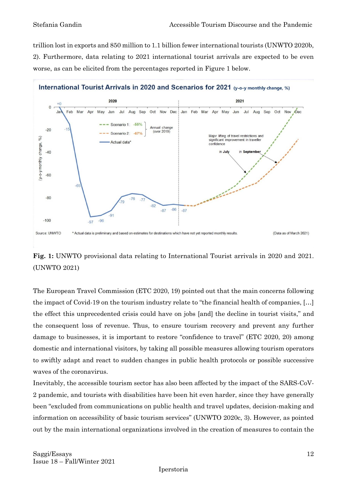trillion lost in exports and 850 million to 1.1 billion fewer international tourists (UNWTO 2020b, 2). Furthermore, data relating to 2021 international tourist arrivals are expected to be even worse, as can be elicited from the percentages reported in Figure 1 below.



# **Fig. 1:** UNWTO provisional data relating to International Tourist arrivals in 2020 and 2021. (UNWTO 2021)

The European Travel Commission (ETC 2020, 19) pointed out that the main concerns following the impact of Covid-19 on the tourism industry relate to "the financial health of companies, […] the effect this unprecedented crisis could have on jobs [and] the decline in tourist visits," and the consequent loss of revenue. Thus, to ensure tourism recovery and prevent any further damage to businesses, it is important to restore "confidence to travel" (ETC 2020, 20) among domestic and international visitors, by taking all possible measures allowing tourism operators to swiftly adapt and react to sudden changes in public health protocols or possible successive waves of the coronavirus.

Inevitably, the accessible tourism sector has also been affected by the impact of the SARS-CoV-2 pandemic, and tourists with disabilities have been hit even harder, since they have generally been "excluded from communications on public health and travel updates, decision-making and information on accessibility of basic tourism services" (UNWTO 2020c, 3). However, as pointed out by the main international organizations involved in the creation of measures to contain the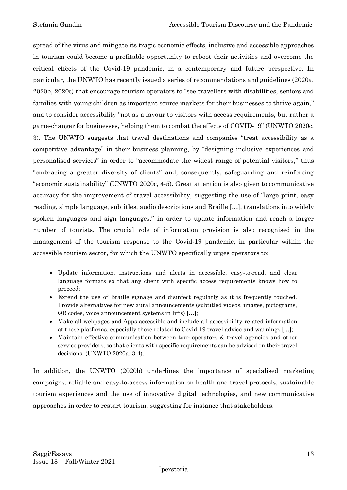spread of the virus and mitigate its tragic economic effects, inclusive and accessible approaches in tourism could become a profitable opportunity to reboot their activities and overcome the critical effects of the Covid-19 pandemic, in a contemporary and future perspective. In particular, the UNWTO has recently issued a series of recommendations and guidelines (2020a, 2020b, 2020c) that encourage tourism operators to "see travellers with disabilities, seniors and families with young children as important source markets for their businesses to thrive again," and to consider accessibility "not as a favour to visitors with access requirements, but rather a game-changer for businesses, helping them to combat the effects of COVID-19" (UNWTO 2020c, 3). The UNWTO suggests that travel destinations and companies "treat accessibility as a competitive advantage" in their business planning, by "designing inclusive experiences and personalised services" in order to "accommodate the widest range of potential visitors," thus "embracing a greater diversity of clients" and, consequently, safeguarding and reinforcing "economic sustainability" (UNWTO 2020c, 4-5). Great attention is also given to communicative accuracy for the improvement of travel accessibility, suggesting the use of "large print, easy reading, simple language, subtitles, audio descriptions and Braille […], translations into widely spoken languages and sign languages," in order to update information and reach a larger number of tourists. The crucial role of information provision is also recognised in the management of the tourism response to the Covid-19 pandemic, in particular within the accessible tourism sector, for which the UNWTO specifically urges operators to:

- Update information, instructions and alerts in accessible, easy-to-read, and clear language formats so that any client with specific access requirements knows how to proceed;
- Extend the use of Braille signage and disinfect regularly as it is frequently touched. Provide alternatives for new aural announcements (subtitled videos, images, pictograms, QR codes, voice announcement systems in lifts) […];
- Make all webpages and Apps accessible and include all accessibility-related information at these platforms, especially those related to Covid-19 travel advice and warnings […];
- Maintain effective communication between tour-operators & travel agencies and other service providers, so that clients with specific requirements can be advised on their travel decisions. (UNWTO 2020a, 3-4).

In addition, the UNWTO (2020b) underlines the importance of specialised marketing campaigns, reliable and easy-to-access information on health and travel protocols, sustainable tourism experiences and the use of innovative digital technologies, and new communicative approaches in order to restart tourism, suggesting for instance that stakeholders: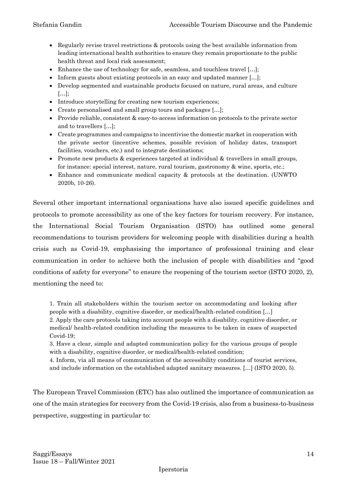- Regularly revise travel restrictions & protocols using the best available information from leading international health authorities to ensure they remain proportionate to the public health threat and local risk assessment;
- Enhance the use of technology for safe, seamless, and touchless travel [...];
- Inform guests about existing protocols in an easy and updated manner [...];
- Develop segmented and sustainable products focused on nature, rural areas, and culture […];
- Introduce storytelling for creating new tourism experiences;
- Create personalised and small group tours and packages […];
- Provide reliable, consistent & easy-to-access information on protocols to the private sector and to travellers […];
- Create programmes and campaigns to incentivise the domestic market in cooperation with the private sector (incentive schemes, possible revision of holiday dates, transport facilities, vouchers, etc.) and to integrate destinations;
- Promote new products & experiences targeted at individual & travellers in small groups, for instance: special interest, nature, rural tourism, gastronomy & wine, sports, etc.;
- Enhance and communicate medical capacity & protocols at the destination. (UNWTO 2020b, 10-26).

Several other important international organisations have also issued specific guidelines and protocols to promote accessibility as one of the key factors for tourism recovery. For instance, the International Social Tourism Organisation (ISTO) has outlined some general recommendations to tourism providers for welcoming people with disabilities during a health crisis such as Covid-19, emphasising the importance of professional training and clear communication in order to achieve both the inclusion of people with disabilities and "good conditions of safety for everyone" to ensure the reopening of the tourism sector (ISTO 2020, 2), mentioning the need to:

1. Train all stakeholders within the tourism sector on accommodating and looking after people with a disability, cognitive disorder, or medical/health-related condition […]

2. Apply the care protocols taking into account people with a disability, cognitive disorder, or medical/ health-related condition including the measures to be taken in cases of suspected Covid-19;

3. Have a clear, simple and adapted communication policy for the various groups of people with a disability, cognitive disorder, or medical/health-related condition;

4. Inform, via all means of communication of the accessibility conditions of tourist services, and include information on the established adapted sanitary measures. […] (ISTO 2020, 5).

The European Travel Commission (ETC) has also outlined the importance of communication as one of the main strategies for recovery from the Covid-19 crisis, also from a business-to-business perspective, suggesting in particular to: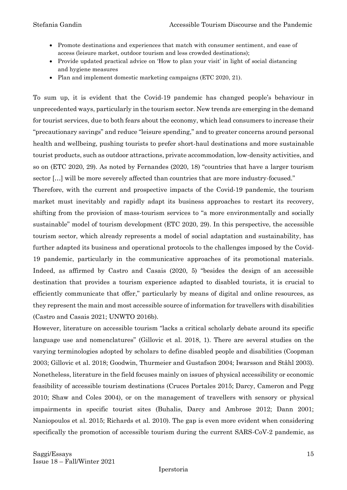- Promote destinations and experiences that match with consumer sentiment, and ease of access (leisure market, outdoor tourism and less crowded destinations);
- Provide updated practical advice on 'How to plan your visit' in light of social distancing and hygiene measures
- Plan and implement domestic marketing campaigns (ETC 2020, 21).

To sum up, it is evident that the Covid-19 pandemic has changed people's behaviour in unprecedented ways, particularly in the tourism sector. New trends are emerging in the demand for tourist services, due to both fears about the economy, which lead consumers to increase their "precautionary savings" and reduce "leisure spending," and to greater concerns around personal health and wellbeing, pushing tourists to prefer short-haul destinations and more sustainable tourist products, such as outdoor attractions, private accommodation, low-density activities, and so on (ETC 2020, 29). As noted by Fernandes (2020, 18) "countries that have a larger tourism sector […] will be more severely affected than countries that are more industry-focused."

Therefore, with the current and prospective impacts of the Covid-19 pandemic, the tourism market must inevitably and rapidly adapt its business approaches to restart its recovery, shifting from the provision of mass-tourism services to "a more environmentally and socially sustainable" model of tourism development (ETC 2020, 29). In this perspective, the accessible tourism sector, which already represents a model of social adaptation and sustainability, has further adapted its business and operational protocols to the challenges imposed by the Covid-19 pandemic, particularly in the communicative approaches of its promotional materials. Indeed, as affirmed by Castro and Casais (2020, 5) "besides the design of an accessible destination that provides a tourism experience adapted to disabled tourists, it is crucial to efficiently communicate that offer," particularly by means of digital and online resources, as they represent the main and most accessible source of information for travellers with disabilities (Castro and Casais 2021; UNWTO 2016b).

However, literature on accessible tourism "lacks a critical scholarly debate around its specific language use and nomenclatures" (Gillovic et al. 2018, 1). There are several studies on the varying terminologies adopted by scholars to define disabled people and disabilities (Coopman 2003; Gillovic et al. 2018; Goodwin, Thurmeier and Gustafson 2004; Iwarsson and Ståhl 2003). Nonetheless, literature in the field focuses mainly on issues of physical accessibility or economic feasibility of accessible tourism destinations (Cruces Portales 2015; Darcy, Cameron and Pegg 2010; Shaw and Coles 2004), or on the management of travellers with sensory or physical impairments in specific tourist sites (Buhalis, Darcy and Ambrose 2012; Dann 2001; Naniopoulos et al. 2015; Richards et al. 2010). The gap is even more evident when considering specifically the promotion of accessible tourism during the current SARS-CoV-2 pandemic, as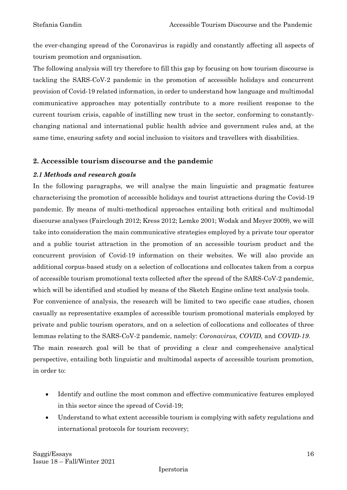the ever-changing spread of the Coronavirus is rapidly and constantly affecting all aspects of tourism promotion and organisation.

The following analysis will try therefore to fill this gap by focusing on how tourism discourse is tackling the SARS-CoV-2 pandemic in the promotion of accessible holidays and concurrent provision of Covid-19 related information, in order to understand how language and multimodal communicative approaches may potentially contribute to a more resilient response to the current tourism crisis, capable of instilling new trust in the sector, conforming to constantlychanging national and international public health advice and government rules and, at the same time, ensuring safety and social inclusion to visitors and travellers with disabilities.

### **2. Accessible tourism discourse and the pandemic**

#### *2.1 Methods and research goals*

In the following paragraphs, we will analyse the main linguistic and pragmatic features characterising the promotion of accessible holidays and tourist attractions during the Covid-19 pandemic. By means of multi-methodical approaches entailing both critical and multimodal discourse analyses (Fairclough 2012; Kress 2012; Lemke 2001; Wodak and Meyer 2009), we will take into consideration the main communicative strategies employed by a private tour operator and a public tourist attraction in the promotion of an accessible tourism product and the concurrent provision of Covid-19 information on their websites. We will also provide an additional corpus-based study on a selection of collocations and collocates taken from a corpus of accessible tourism promotional texts collected after the spread of the SARS-CoV-2 pandemic, which will be identified and studied by means of the Sketch Engine online text analysis tools. For convenience of analysis, the research will be limited to two specific case studies, chosen casually as representative examples of accessible tourism promotional materials employed by private and public tourism operators, and on a selection of collocations and collocates of three lemmas relating to the SARS-CoV-2 pandemic, namely: *Coronavirus, COVID,* and *COVID-19*. The main research goal will be that of providing a clear and comprehensive analytical perspective, entailing both linguistic and multimodal aspects of accessible tourism promotion, in order to:

- Identify and outline the most common and effective communicative features employed in this sector since the spread of Covid-19;
- Understand to what extent accessible tourism is complying with safety regulations and international protocols for tourism recovery;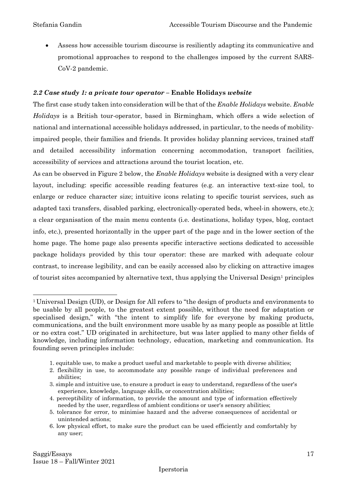• Assess how accessible tourism discourse is resiliently adapting its communicative and promotional approaches to respond to the challenges imposed by the current SARS-CoV-2 pandemic.

#### *2.2 Case study 1: a private tour operator –* **Enable Holidays** *website*

The first case study taken into consideration will be that of the *Enable Holidays* website. *Enable Holidays* is a British tour-operator, based in Birmingham, which offers a wide selection of national and international accessible holidays addressed, in particular, to the needs of mobilityimpaired people, their families and friends. It provides holiday planning services, trained staff and detailed accessibility information concerning accommodation, transport facilities, accessibility of services and attractions around the tourist location, etc.

As can be observed in Figure 2 below, the *Enable Holidays* website is designed with a very clear layout, including: specific accessible reading features (e.g. an interactive text-size tool, to enlarge or reduce character size; intuitive icons relating to specific tourist services, such as adapted taxi transfers, disabled parking, electronically-operated beds, wheel-in showers, etc.); a clear organisation of the main menu contents (i.e. destinations, holiday types, blog, contact info, etc.), presented horizontally in the upper part of the page and in the lower section of the home page. The home page also presents specific interactive sections dedicated to accessible package holidays provided by this tour operator: these are marked with adequate colour contrast, to increase legibility, and can be easily accessed also by clicking on attractive images of tourist sites accompanied by alternative text, thus applying the Universal Design<sup>1</sup> principles

1. equitable use, to make a product useful and marketable to people with diverse abilities;

<sup>1</sup> Universal Design (UD), or Design for All refers to "the design of products and environments to be usable by all people, to the greatest extent possible, without the need for adaptation or specialised design," with "the intent to simplify life for everyone by making products, communications, and the built environment more usable by as many people as possible at little or no extra cost." UD originated in architecture, but was later applied to many other fields of knowledge, including information technology, education, marketing and communication. Its founding seven principles include:

<sup>2.</sup> flexibility in use, to accommodate any possible range of individual preferences and abilities;

<sup>3.</sup> simple and intuitive use, to ensure a product is easy to understand, regardless of the user's experience, knowledge, language skills, or concentration abilities;

<sup>4.</sup> perceptibility of information, to provide the amount and type of information effectively needed by the user, regardless of ambient conditions or user's sensory abilities;

<sup>5.</sup> tolerance for error, to minimise hazard and the adverse consequences of accidental or unintended actions;

<sup>6.</sup> low physical effort, to make sure the product can be used efficiently and comfortably by any user;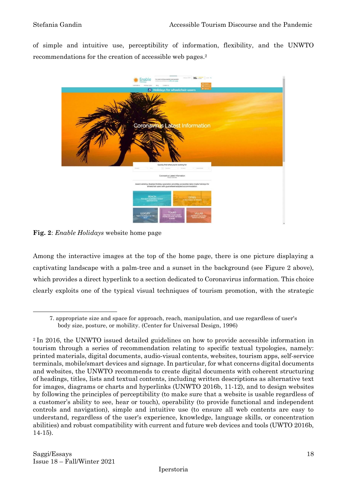of simple and intuitive use, perceptibility of information, flexibility, and the UNWTO recommendations for the creation of accessible web pages. 2



**Fig. 2**: *Enable Holidays* website home page

Among the interactive images at the top of the home page, there is one picture displaying a captivating landscape with a palm-tree and a sunset in the background (see Figure 2 above), which provides a direct hyperlink to a section dedicated to Coronavirus information. This choice clearly exploits one of the typical visual techniques of tourism promotion, with the strategic

<sup>7.</sup> appropriate size and space for approach, reach, manipulation, and use regardless of user's body size, posture, or mobility. (Center for Universal Design, 1996)

<sup>2</sup> In 2016, the UNWTO issued detailed guidelines on how to provide accessible information in tourism through a series of recommendation relating to specific textual typologies, namely: printed materials, digital documents, audio-visual contents, websites, tourism apps, self-service terminals, mobile/smart devices and signage. In particular, for what concerns digital documents and websites, the UNWTO recommends to create digital documents with coherent structuring of headings, titles, lists and textual contents, including written descriptions as alternative text for images, diagrams or charts and hyperlinks (UNWTO 2016b, 11-12), and to design websites by following the principles of perceptibility (to make sure that a website is usable regardless of a customer's ability to see, hear or touch), operability (to provide functional and independent controls and navigation), simple and intuitive use (to ensure all web contents are easy to understand, regardless of the user's experience, knowledge, language skills, or concentration abilities) and robust compatibility with current and future web devices and tools (UWTO 2016b, 14-15).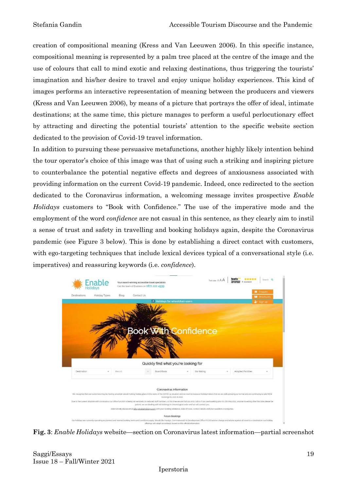creation of compositional meaning (Kress and Van Leeuwen 2006). In this specific instance, compositional meaning is represented by a palm tree placed at the centre of the image and the use of colours that call to mind exotic and relaxing destinations, thus triggering the tourists' imagination and his/her desire to travel and enjoy unique holiday experiences. This kind of images performs an interactive representation of meaning between the producers and viewers (Kress and Van Leeuwen 2006), by means of a picture that portrays the offer of ideal, intimate destinations; at the same time, this picture manages to perform a useful perlocutionary effect by attracting and directing the potential tourists' attention to the specific website section dedicated to the provision of Covid-19 travel information.

In addition to pursuing these persuasive metafunctions, another highly likely intention behind the tour operator's choice of this image was that of using such a striking and inspiring picture to counterbalance the potential negative effects and degrees of anxiousness associated with providing information on the current Covid-19 pandemic. Indeed, once redirected to the section dedicated to the Coronavirus information, a welcoming message invites prospective *Enable Holidays* customers to "Book with Confidence." The use of the imperative mode and the employment of the word *confidence* are not casual in this sentence, as they clearly aim to instil a sense of trust and safety in travelling and booking holidays again, despite the Coronavirus pandemic (see Figure 3 below). This is done by establishing a direct contact with customers, with ego-targeting techniques that include lexical devices typical of a conversational style (i.e. imperatives) and reassuring keywords (i.e. *confidence*).



**Fig. 3**: *Enable Holidays* website—section on Coronavirus latest information—partial screenshot

Saggi/Essays 19 Issue 18 – Fall/Winter 2021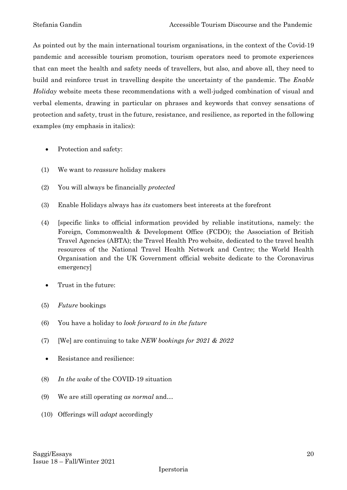As pointed out by the main international tourism organisations, in the context of the Covid-19 pandemic and accessible tourism promotion, tourism operators need to promote experiences that can meet the health and safety needs of travellers, but also, and above all, they need to build and reinforce trust in travelling despite the uncertainty of the pandemic. The *Enable Holiday* website meets these recommendations with a well-judged combination of visual and verbal elements, drawing in particular on phrases and keywords that convey sensations of protection and safety, trust in the future, resistance, and resilience, as reported in the following examples (my emphasis in italics):

- Protection and safety:
- (1) We want to *reassure* holiday makers
- (2) You will always be financially *protected*
- (3) Enable Holidays always has *its* customers best interests at the forefront
- (4) [specific links to official information provided by reliable institutions, namely: the Foreign, Commonwealth & Development Office (FCDO); the Association of British Travel Agencies (ABTA); the Travel Health Pro website, dedicated to the travel health resources of the National Travel Health Network and Centre; the World Health Organisation and the UK Government official website dedicate to the Coronavirus emergency]
	- Trust in the future:
- (5) *Future* bookings
- (6) You have a holiday to *look forward to in the future*
- (7) [We] are continuing to take *NEW bookings for 2021 & 2022*
- Resistance and resilience:
- (8) *In the wake* of the COVID-19 situation
- (9) We are still operating *as normal* and…
- (10) Offerings will *adapt* accordingly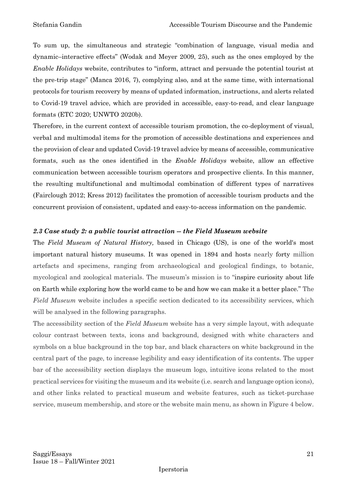To sum up, the simultaneous and strategic "combination of language, visual media and dynamic–interactive effects" (Wodak and Meyer 2009, 25), such as the ones employed by the *Enable Holidays* website, contributes to "inform, attract and persuade the potential tourist at the pre-trip stage" (Manca 2016, 7), complying also, and at the same time, with international protocols for tourism recovery by means of updated information, instructions, and alerts related to Covid-19 travel advice, which are provided in accessible, easy-to-read, and clear language formats (ETC 2020; UNWTO 2020b).

Therefore, in the current context of accessible tourism promotion, the co-deployment of visual, verbal and multimodal items for the promotion of accessible destinations and experiences and the provision of clear and updated Covid-19 travel advice by means of accessible, communicative formats, such as the ones identified in the *Enable Holidays* website, allow an effective communication between accessible tourism operators and prospective clients. In this manner, the resulting multifunctional and multimodal combination of different types of narratives (Fairclough 2012; Kress 2012) facilitates the promotion of accessible tourism products and the concurrent provision of consistent, updated and easy-to-access information on the pandemic.

#### *2.3 Case study 2: a public tourist attraction -- the Field Museum website*

The *Field Museum of Natural History,* based in Chicago (US), is one of the world's most important natural history museums. It was opened in 1894 and hosts nearly forty million artefacts and specimens, ranging from archaeological and geological findings, to botanic, mycological and zoological materials. The museum's mission is to "inspire curiosity about life on Earth while exploring how the world came to be and how we can make it a better place." The *Field Museum* website includes a specific section dedicated to its accessibility services, which will be analysed in the following paragraphs.

The accessibility section of the *Field Museum* website has a very simple layout, with adequate colour contrast between texts, icons and background, designed with white characters and symbols on a blue background in the top bar, and black characters on white background in the central part of the page, to increase legibility and easy identification of its contents. The upper bar of the accessibility section displays the museum logo, intuitive icons related to the most practical services for visiting the museum and its website (i.e. search and language option icons), and other links related to practical museum and website features, such as ticket-purchase service, museum membership, and store or the website main menu, as shown in Figure 4 below.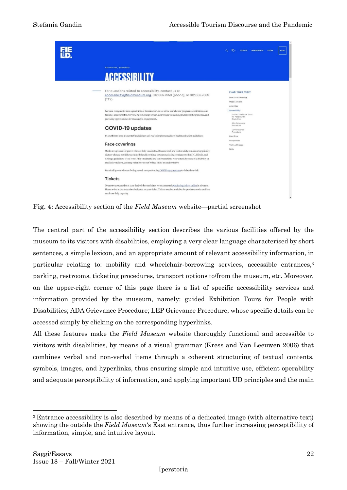|                                                                                                                                                                                                                                                                                                                                                                                                                                    | e.<br>$\alpha$<br>TICKETS MEMBERSHIP<br><b>STORE</b><br><b>MENU</b>          |
|------------------------------------------------------------------------------------------------------------------------------------------------------------------------------------------------------------------------------------------------------------------------------------------------------------------------------------------------------------------------------------------------------------------------------------|------------------------------------------------------------------------------|
| Plan Your Visit / Accessibility                                                                                                                                                                                                                                                                                                                                                                                                    |                                                                              |
| <b>ACCESSIBILITY</b>                                                                                                                                                                                                                                                                                                                                                                                                               |                                                                              |
| For questions related to accessibility, contact us at<br>accessibility@fieldmuseum.org, 312.665.7959 (phone), or 312.665.7669<br>(TTY).                                                                                                                                                                                                                                                                                            | <b>PLAN YOUR VISIT</b><br>Directions & Parking<br>Maps & Guides<br>Amenities |
| We want everyone to have a great time at the museum, so we strive to make our programs, exhibitions, and<br>facilities accessible for everyone by removing barriers, delivering a welcoming and relevant experience, and<br>providing opportunities for meaningful engagement.                                                                                                                                                     | Accessibility<br>Guided Exhibition Tours<br>for People with<br>Disabilities  |
| <b>COVID-19 updates</b>                                                                                                                                                                                                                                                                                                                                                                                                            | ADA Grievance<br>Procedure<br>LEP Grievance<br>Procedure                     |
| In an effort to keep all our staff and visitors safe, we've implemented new health and safety guidelines.                                                                                                                                                                                                                                                                                                                          | <b>Field Trips</b>                                                           |
| <b>Face coverings</b>                                                                                                                                                                                                                                                                                                                                                                                                              | Group Visits<br>Visiting Chicago                                             |
| Masks are optional for guests who are fully vaccinated. Because staff and visitor safety remains a top priority,<br>visitors who are not fully vaccinated should continue to wear masks in accordance with CDC, Illinois, and<br>Chicago guidelines. If you're not fully vaccinated and you're unable to wear a mask because of a disability or<br>medical condition, you may substitute a scarf or face shield as an alternative. | FAQs                                                                         |
| We ask all guests who are feeling unwell or experiencing COVID-19 symptoms to delay their visit.                                                                                                                                                                                                                                                                                                                                   |                                                                              |
| <b>Tickets</b>                                                                                                                                                                                                                                                                                                                                                                                                                     |                                                                              |
| To ensure you can visit at your desired date and time, we recommend purchasing tickets online in advance.<br>Please arrive at the entry time indicated on your ticket. Tickets are also available for purchase onsite until we<br>reach our daily capacity.                                                                                                                                                                        |                                                                              |

**Fig. 4:** Accessibility section of the *Field Museum* website—partial screenshot

The central part of the accessibility section describes the various facilities offered by the museum to its visitors with disabilities, employing a very clear language characterised by short sentences, a simple lexicon, and an appropriate amount of relevant accessibility information, in particular relating to: mobility and wheelchair-borrowing services, accessible entrances,<sup>3</sup> parking, restrooms, ticketing procedures, transport options to/from the museum, etc. Moreover, on the upper-right corner of this page there is a list of specific accessibility services and information provided by the museum, namely: guided Exhibition Tours for People with Disabilities; ADA Grievance Procedure; LEP Grievance Procedure, whose specific details can be accessed simply by clicking on the corresponding hyperlinks.

All these features make the *Field Museum* website thoroughly functional and accessible to visitors with disabilities, by means of a visual grammar (Kress and Van Leeuwen 2006) that combines verbal and non-verbal items through a coherent structuring of textual contents, symbols, images, and hyperlinks, thus ensuring simple and intuitive use, efficient operability and adequate perceptibility of information, and applying important UD principles and the main

<sup>3</sup> Entrance accessibility is also described by means of a dedicated image (with alternative text) showing the outside the *Field Museum*'s East entrance, thus further increasing perceptibility of information, simple, and intuitive layout.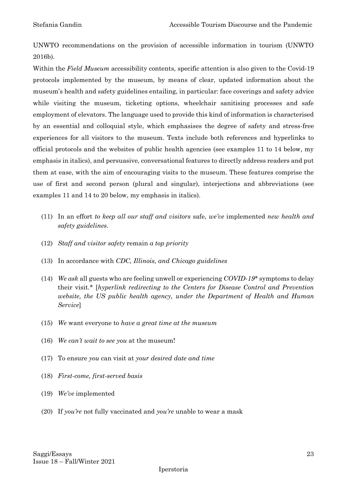UNWTO recommendations on the provision of accessible information in tourism (UNWTO 2016b).

Within the *Field Museum* accessibility contents, specific attention is also given to the Covid-19 protocols implemented by the museum, by means of clear, updated information about the museum's health and safety guidelines entailing, in particular: face coverings and safety advice while visiting the museum, ticketing options, wheelchair sanitising processes and safe employment of elevators. The language used to provide this kind of information is characterised by an essential and colloquial style, which emphasises the degree of safety and stress-free experiences for all visitors to the museum. Texts include both references and hyperlinks to official protocols and the websites of public health agencies (see examples 11 to 14 below, my emphasis in italics), and persuasive, conversational features to directly address readers and put them at ease, with the aim of encouraging visits to the museum. These features comprise the use of first and second person (plural and singular), interjections and abbreviations (see examples 11 and 14 to 20 below, my emphasis in italics).

- (11) In an effort *to keep all our staff and visitors* safe, *we've* implemented *new health and safety guidelines*.
- (12) *Staff and visitor safety* remain *a top priority*
- (13) In accordance with *CDC, Illinois, and Chicago guidelines*
- (14) *We ask* all guests who are feeling unwell or experiencing *COVID-19\** symptoms to delay their visit.\* [*hyperlink redirecting to the Centers for Disease Control and Prevention website, the US public health agency, under the Department of Health and Human Service*]
- (15) *We* want everyone to *have a great time at the museum*
- (16) *We can't wait to see you* at the museum!
- (17) To ensure *you* can visit at *your desired date and time*
- (18) *First-come, first-served basis*
- (19) *We've* implemented
- (20) If *you're* not fully vaccinated and *you're* unable to wear a mask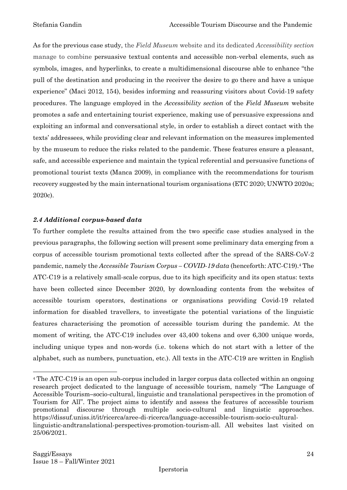As for the previous case study, the *Field Museum* website and its dedicated *Accessibility section* manage to combine persuasive textual contents and accessible non-verbal elements, such as symbols, images, and hyperlinks, to create a multidimensional discourse able to enhance "the pull of the destination and producing in the receiver the desire to go there and have a unique experience" (Maci 2012, 154), besides informing and reassuring visitors about Covid-19 safety procedures. The language employed in the *Accessibility section* of the *Field Museum* website promotes a safe and entertaining tourist experience, making use of persuasive expressions and exploiting an informal and conversational style, in order to establish a direct contact with the texts' addressees, while providing clear and relevant information on the measures implemented by the museum to reduce the risks related to the pandemic. These features ensure a pleasant, safe, and accessible experience and maintain the typical referential and persuasive functions of promotional tourist texts (Manca 2009), in compliance with the recommendations for tourism recovery suggested by the main international tourism organisations (ETC 2020; UNWTO 2020a; 2020c).

#### *2.4 Additional corpus-based data*

To further complete the results attained from the two specific case studies analysed in the previous paragraphs, the following section will present some preliminary data emerging from a corpus of accessible tourism promotional texts collected after the spread of the SARS-CoV-2 pandemic, namely the *Accessible Tourism Corpus – COVID-19 data* (henceforth: ATC-C19). <sup>4</sup> The ATC-C19 is a relatively small-scale corpus, due to its high specificity and its open status: texts have been collected since December 2020, by downloading contents from the websites of accessible tourism operators, destinations or organisations providing Covid-19 related information for disabled travellers, to investigate the potential variations of the linguistic features characterising the promotion of accessible tourism during the pandemic. At the moment of writing, the ATC-C19 includes over 43,400 tokens and over 6,300 unique words, including unique types and non-words (i.e. tokens which do not start with a letter of the alphabet, such as numbers, punctuation, etc.). All texts in the ATC-C19 are written in English

<sup>4</sup> The ATC-C19 is an open sub-corpus included in larger corpus data collected within an ongoing research project dedicated to the language of accessible tourism, namely "The Language of Accessible Tourism–socio-cultural, linguistic and translational perspectives in the promotion of Tourism for All". The project aims to identify and assess the features of accessible tourism promotional discourse through multiple socio-cultural and linguistic approaches. https://dissuf.uniss.it/it/ricerca/aree-di-ricerca/language-accessible-tourism-socio-culturallinguistic-andtranslational-perspectives-promotion-tourism-all. All websites last visited on 25/06/2021.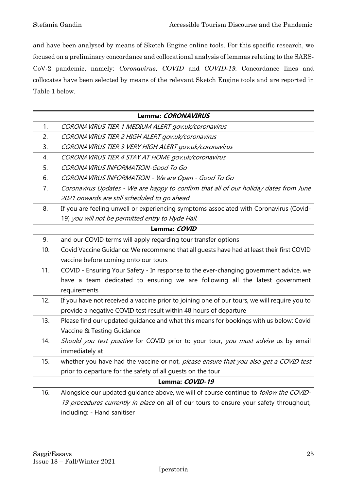and have been analysed by means of Sketch Engine online tools. For this specific research, we focused on a preliminary concordance and collocational analysis of lemmas relating to the SARS-CoV-2 pandemic, namely: *Coronavirus, COVID* and *COVID-19*. Concordance lines and collocates have been selected by means of the relevant Sketch Engine tools and are reported in Table 1 below.

|                 | Lemma: CORONAVIRUS                                                                           |  |
|-----------------|----------------------------------------------------------------------------------------------|--|
| 1.              | CORONAVIRUS TIER 1 MEDIUM ALERT gov.uk/coronavirus                                           |  |
| 2.              | CORONAVIRUS TIER 2 HIGH ALERT gov.uk/coronavirus                                             |  |
| 3.              | CORONAVIRUS TIER 3 VERY HIGH ALERT gov.uk/coronavirus                                        |  |
| 4.              | CORONAVIRUS TIER 4 STAY AT HOME gov.uk/coronavirus                                           |  |
| 5.              | CORONAVIRUS INFORMATION-Good To Go                                                           |  |
| 6.              | CORONAVIRUS INFORMATION - We are Open - Good To Go                                           |  |
| 7.              | Coronavirus Updates - We are happy to confirm that all of our holiday dates from June        |  |
|                 | 2021 onwards are still scheduled to go ahead                                                 |  |
| 8.              | If you are feeling unwell or experiencing symptoms associated with Coronavirus (Covid-       |  |
|                 | 19) you will not be permitted entry to Hyde Hall.                                            |  |
| Lemma: COVID    |                                                                                              |  |
| 9.              | and our COVID terms will apply regarding tour transfer options                               |  |
| 10.             | Covid Vaccine Guidance: We recommend that all guests have had at least their first COVID     |  |
|                 | vaccine before coming onto our tours                                                         |  |
| 11.             | COVID - Ensuring Your Safety - In response to the ever-changing government advice, we        |  |
|                 | have a team dedicated to ensuring we are following all the latest government                 |  |
|                 | requirements                                                                                 |  |
| 12.             | If you have not received a vaccine prior to joining one of our tours, we will require you to |  |
|                 | provide a negative COVID test result within 48 hours of departure                            |  |
| 13.             | Please find our updated guidance and what this means for bookings with us below: Covid       |  |
|                 | Vaccine & Testing Guidance                                                                   |  |
| 14.             | Should you test positive for COVID prior to your tour, you must advise us by email           |  |
|                 | immediately at                                                                               |  |
| 15.             | whether you have had the vaccine or not, please ensure that you also get a COVID test        |  |
|                 | prior to departure for the safety of all guests on the tour                                  |  |
| Lemma: COVID-19 |                                                                                              |  |
| 16.             | Alongside our updated guidance above, we will of course continue to <i>follow the COVID-</i> |  |
|                 | 19 procedures currently in place on all of our tours to ensure your safety throughout,       |  |
|                 | including: - Hand sanitiser                                                                  |  |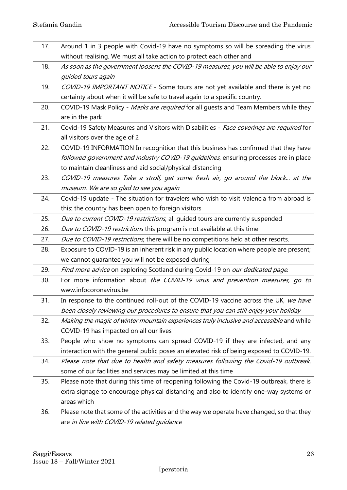- 17. Around 1 in 3 people with Covid-19 have no symptoms so will be spreading the virus without realising. We must all take action to protect each other and
- 18. As soon as the government loosens the COVID-19 measures, you will be able to enjoy our guided tours again
- 19. COVID-19 IMPORTANT NOTICE Some tours are not yet available and there is yet no certainty about when it will be safe to travel again to a specific country.
- 20. COVID-19 Mask Policy Masks are required for all quests and Team Members while they are in the park
- 21. Covid-19 Safety Measures and Visitors with Disabilities Face coverings are required for all visitors over the age of 2
- 22. COVID-19 INFORMATION In recognition that this business has confirmed that they have followed government and industry COVID-19 guidelines, ensuring processes are in place to maintain cleanliness and aid social/physical distancing
- 23. COVID-19 measures Take a stroll, get some fresh air, go around the block... at the museum. We are so glad to see you again
- 24. Covid-19 update The situation for travelers who wish to visit Valencia from abroad is this: the country has been open to foreign visitors
- 25. Due to current COVID-19 restrictions, all guided tours are currently suspended
- 26. Due to COVID-19 restrictions this program is not available at this time
- 27. Due to COVID-19 restrictions, there will be no competitions held at other resorts.
- 28. Exposure to COVID-19 is an inherent risk in any public location where people are present; we cannot guarantee you will not be exposed during
- 29. Find more advice on exploring Scotland during Covid-19 on our dedicated page.
- 30. For more information about the COVID-19 virus and prevention measures, go to www.infocoronavirus.be
- 31. In response to the continued roll-out of the COVID-19 vaccine across the UK, we have been closely reviewing our procedures to ensure that you can still enjoy your holiday
- 32. Making the magic of winter mountain experiences truly inclusive and accessible and while COVID-19 has impacted on all our lives
- 33. People who show no symptoms can spread COVID-19 if they are infected, and any interaction with the general public poses an elevated risk of being exposed to COVID-19.
- 34. Please note that due to health and safety measures following the Covid-19 outbreak, some of our facilities and services may be limited at this time
- 35. Please note that during this time of reopening following the Covid-19 outbreak, there is extra signage to encourage physical distancing and also to identify one-way systems or areas which
- 36. Please note that some of the activities and the way we operate have changed, so that they are in line with COVID-19 related guidance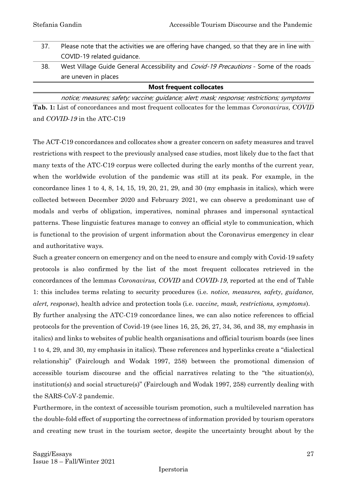| <b>Most frequent collocates</b> |                                                                                              |  |
|---------------------------------|----------------------------------------------------------------------------------------------|--|
|                                 | are uneven in places                                                                         |  |
| 38.                             | West Village Guide General Accessibility and <i>Covid-19 Precautions</i> - Some of the roads |  |
|                                 | COVID-19 related guidance.                                                                   |  |
| 37.                             | Please note that the activities we are offering have changed, so that they are in line with  |  |

notice; measures; safety; vaccine; guidance; alert; mask; response; restrictions; symptoms **Tab. 1:** List of concordances and most frequent collocates for the lemmas *Coronavirus, COVID* and *COVID-19* in the ATC-C19

The ACT-C19 concordances and collocates show a greater concern on safety measures and travel restrictions with respect to the previously analysed case studies, most likely due to the fact that many texts of the ATC-C19 corpus were collected during the early months of the current year, when the worldwide evolution of the pandemic was still at its peak. For example, in the concordance lines 1 to 4, 8, 14, 15, 19, 20, 21, 29, and 30 (my emphasis in italics), which were collected between December 2020 and February 2021, we can observe a predominant use of modals and verbs of obligation, imperatives, nominal phrases and impersonal syntactical patterns. These linguistic features manage to convey an official style to communication, which is functional to the provision of urgent information about the Coronavirus emergency in clear and authoritative ways.

Such a greater concern on emergency and on the need to ensure and comply with Covid-19 safety protocols is also confirmed by the list of the most frequent collocates retrieved in the concordances of the lemmas *Coronavirus, COVID* and *COVID-19*, reported at the end of Table 1: this includes terms relating to security procedures (i.e. *notice, measures, safety, guidance, alert, response*), health advice and protection tools (i.e. *vaccine, mask, restrictions, symptoms*).

By further analysing the ATC-C19 concordance lines, we can also notice references to official protocols for the prevention of Covid-19 (see lines 16, 25, 26, 27, 34, 36, and 38, my emphasis in italics) and links to websites of public health organisations and official tourism boards (see lines 1 to 4, 29, and 30, my emphasis in italics). These references and hyperlinks create a "dialectical relationship" (Fairclough and Wodak 1997, 258) between the promotional dimension of accessible tourism discourse and the official narratives relating to the "the situation(s), institution(s) and social structure(s)" (Fairclough and Wodak 1997, 258) currently dealing with the SARS-CoV-2 pandemic.

Furthermore, in the context of accessible tourism promotion, such a multileveled narration has the double-fold effect of supporting the correctness of information provided by tourism operators and creating new trust in the tourism sector, despite the uncertainty brought about by the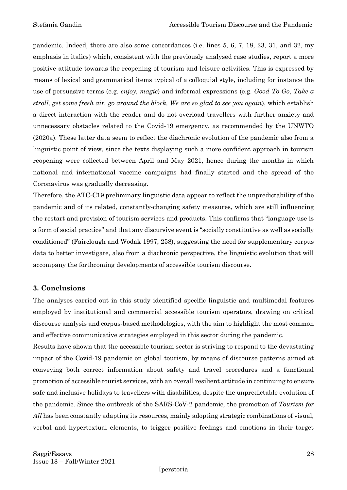pandemic. Indeed, there are also some concordances (i.e. lines 5, 6, 7, 18, 23, 31, and 32, my emphasis in italics) which, consistent with the previously analysed case studies, report a more positive attitude towards the reopening of tourism and leisure activities. This is expressed by means of lexical and grammatical items typical of a colloquial style, including for instance the use of persuasive terms (e.g. *enjoy, magic*) and informal expressions (e.g. *Good To Go*, *Take a stroll, get some fresh air, go around the block, We are so glad to see you again*), which establish a direct interaction with the reader and do not overload travellers with further anxiety and unnecessary obstacles related to the Covid-19 emergency, as recommended by the UNWTO (2020a). These latter data seem to reflect the diachronic evolution of the pandemic also from a linguistic point of view, since the texts displaying such a more confident approach in tourism reopening were collected between April and May 2021, hence during the months in which national and international vaccine campaigns had finally started and the spread of the Coronavirus was gradually decreasing.

Therefore, the ATC-C19 preliminary linguistic data appear to reflect the unpredictability of the pandemic and of its related, constantly-changing safety measures, which are still influencing the restart and provision of tourism services and products. This confirms that "language use is a form of social practice" and that any discursive event is "socially constitutive as well as socially conditioned" (Fairclough and Wodak 1997, 258), suggesting the need for supplementary corpus data to better investigate, also from a diachronic perspective, the linguistic evolution that will accompany the forthcoming developments of accessible tourism discourse.

#### **3. Conclusions**

The analyses carried out in this study identified specific linguistic and multimodal features employed by institutional and commercial accessible tourism operators, drawing on critical discourse analysis and corpus-based methodologies, with the aim to highlight the most common and effective communicative strategies employed in this sector during the pandemic.

Results have shown that the accessible tourism sector is striving to respond to the devastating impact of the Covid-19 pandemic on global tourism, by means of discourse patterns aimed at conveying both correct information about safety and travel procedures and a functional promotion of accessible tourist services, with an overall resilient attitude in continuing to ensure safe and inclusive holidays to travellers with disabilities, despite the unpredictable evolution of the pandemic. Since the outbreak of the SARS-CoV-2 pandemic, the promotion of *Tourism for All* has been constantly adapting its resources, mainly adopting strategic combinations of visual, verbal and hypertextual elements, to trigger positive feelings and emotions in their target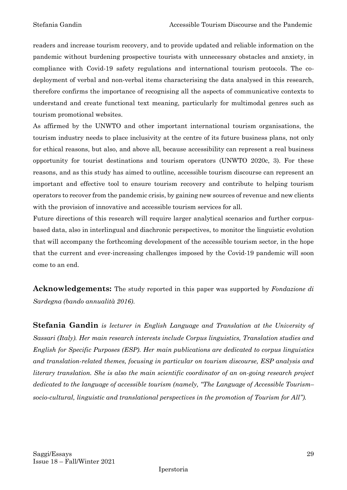readers and increase tourism recovery, and to provide updated and reliable information on the pandemic without burdening prospective tourists with unnecessary obstacles and anxiety, in compliance with Covid-19 safety regulations and international tourism protocols. The codeployment of verbal and non-verbal items characterising the data analysed in this research, therefore confirms the importance of recognising all the aspects of communicative contexts to understand and create functional text meaning, particularly for multimodal genres such as tourism promotional websites.

As affirmed by the UNWTO and other important international tourism organisations, the tourism industry needs to place inclusivity at the centre of its future business plans, not only for ethical reasons, but also, and above all, because accessibility can represent a real business opportunity for tourist destinations and tourism operators (UNWTO 2020c, 3). For these reasons, and as this study has aimed to outline, accessible tourism discourse can represent an important and effective tool to ensure tourism recovery and contribute to helping tourism operators to recover from the pandemic crisis, by gaining new sources of revenue and new clients with the provision of innovative and accessible tourism services for all.

Future directions of this research will require larger analytical scenarios and further corpusbased data, also in interlingual and diachronic perspectives, to monitor the linguistic evolution that will accompany the forthcoming development of the accessible tourism sector, in the hope that the current and ever-increasing challenges imposed by the Covid-19 pandemic will soon come to an end.

**Acknowledgements:** The study reported in this paper was supported by *Fondazione di Sardegna (bando annualità 2016)*.

**Stefania Gandin** *is lecturer in English Language and Translation at the University of Sassari (Italy). Her main research interests include Corpus linguistics, Translation studies and English for Specific Purposes (ESP). Her main publications are dedicated to corpus linguistics and translation-related themes, focusing in particular on tourism discourse, ESP analysis and literary translation. She is also the main scientific coordinator of an on-going research project dedicated to the language of accessible tourism (namely, "The Language of Accessible Tourism– socio-cultural, linguistic and translational perspectives in the promotion of Tourism for All").*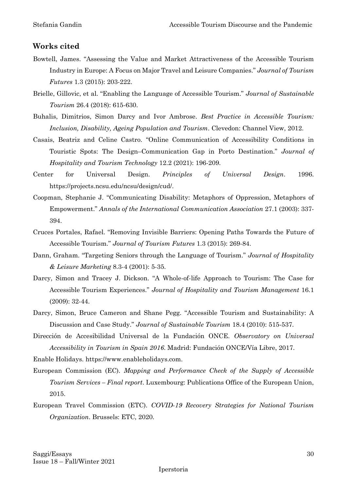#### **Works cited**

- Bowtell, James. "Assessing the Value and Market Attractiveness of the Accessible Tourism Industry in Europe: A Focus on Major Travel and Leisure Companies." *Journal of Tourism Futures* 1.3 (2015): 203-222.
- Brielle, Gillovic, et al. "Enabling the Language of Accessible Tourism." *Journal of Sustainable Tourism* 26.4 (2018): 615-630.
- Buhalis, Dimitrios, Simon Darcy and Ivor Ambrose. *Best Practice in Accessible Tourism: Inclusion, Disability, Ageing Population and Tourism*. Clevedon: Channel View, 2012.
- Casais, Beatriz and Celine Castro. "Online Communication of Accessibility Conditions in Touristic Spots: The Design–Communication Gap in Porto Destination." *Journal of Hospitality and Tourism Technology* 12.2 (2021): 196-209.
- Center for Universal Design. *Principles of Universal Design*. 1996. https://projects.ncsu.edu/ncsu/design/cud/.
- Coopman, Stephanie J. "Communicating Disability: Metaphors of Oppression, Metaphors of Empowerment." *Annals of the International Communication Association* 27.1 (2003): 337- 394.
- Cruces Portales, Rafael. "Removing Invisible Barriers: Opening Paths Towards the Future of Accessible Tourism." *Journal of Tourism Futures* 1.3 (2015): 269-84.
- Dann, Graham. "Targeting Seniors through the Language of Tourism." *Journal of Hospitality & Leisure Marketing* 8.3-4 (2001): 5-35.
- Darcy, Simon and Tracey J. Dickson. "A Whole-of-life Approach to Tourism: The Case for Accessible Tourism Experiences." *Journal of Hospitality and Tourism Management* 16.1 (2009): 32-44.
- Darcy, Simon, Bruce Cameron and Shane Pegg. "Accessible Tourism and Sustainability: A Discussion and Case Study." *Journal of Sustainable Tourism* 18.4 (2010): 515-537.
- Dirección de Accesibilidad Universal de la Fundación ONCE. *Observatory on Universal Accessibility in Tourism in Spain 2016*. Madrid: Fundación ONCE/Vía Libre, 2017.
- Enable Holidays. https://www.enableholidays.com.
- European Commission (EC). *Mapping and Performance Check of the Supply of Accessible Tourism Services – Final report*. Luxembourg: Publications Office of the European Union, 2015.
- European Travel Commission (ETC). *COVID-19 Recovery Strategies for National Tourism Organization*. Brussels: ETC, 2020.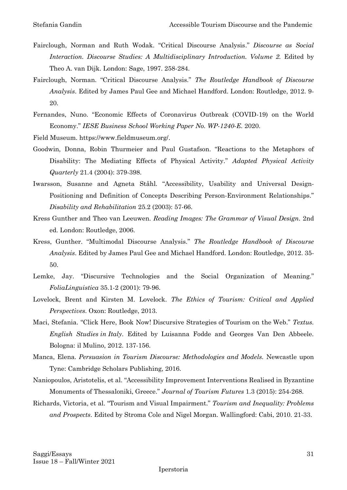- Fairclough, Norman and Ruth Wodak. "Critical Discourse Analysis." *Discourse as Social Interaction. Discourse Studies: A Multidisciplinary Introduction. Volume 2.* Edited by Theo A. van Dijk. London: Sage, 1997. 258-284.
- Fairclough, Norman. "Critical Discourse Analysis." *The Routledge Handbook of Discourse Analysis*. Edited by James Paul Gee and Michael Handford. London: Routledge, 2012. 9- 20.
- Fernandes, Nuno. "Economic Effects of Coronavirus Outbreak (COVID-19) on the World Economy." *IESE Business School Working Paper No. WP-1240-E*. 2020.
- Field Museum. https://www.fieldmuseum.org/.
- Goodwin, Donna, Robin Thurmeier and Paul Gustafson. "Reactions to the Metaphors of Disability: The Mediating Effects of Physical Activity." *Adapted Physical Activity Quarterly* 21.4 (2004): 379-398.
- Iwarsson, Susanne and Agneta Ståhl. "Accessibility, Usability and Universal Design-Positioning and Definition of Concepts Describing Person-Environment Relationships." *Disability and Rehabilitation* 25.2 (2003): 57-66.
- Kress Gunther and Theo van Leeuwen. *Reading Images: The Grammar of Visual Design.* 2nd ed*.* London: Routledge, 2006.
- Kress, Gunther. "Multimodal Discourse Analysis." *The Routledge Handbook of Discourse Analysis*. Edited by James Paul Gee and Michael Handford. London: Routledge, 2012. 35- 50.
- Lemke, Jay. "Discursive Technologies and the Social Organization of Meaning." *FoliaLinguistica* 35.1-2 (2001): 79-96.
- Lovelock, Brent and Kirsten M. Lovelock. *The Ethics of Tourism: Critical and Applied Perspectives*. Oxon: Routledge, 2013.
- Maci, Stefania. "Click Here, Book Now! Discursive Strategies of Tourism on the Web." *Textus. English Studies in Italy*. Edited by Luisanna Fodde and Georges Van Den Abbeele. Bologna: il Mulino, 2012. 137-156.
- Manca, Elena. *Persuasion in Tourism Discourse: Methodologies and Models.* Newcastle upon Tyne: Cambridge Scholars Publishing, 2016.
- Naniopoulos, Aristotelis, et al. "Accessibility Improvement Interventions Realised in Byzantine Monuments of Thessaloniki, Greece." *Journal of Tourism Futures* 1.3 (2015): 254-268.
- Richards, Victoria, et al. "Tourism and Visual Impairment." *Tourism and Inequality: Problems and Prospects*. Edited by Stroma Cole and Nigel Morgan. Wallingford: Cabi, 2010. 21-33.